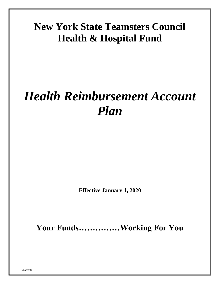# **New York State Teamsters Council Health & Hospital Fund**

# *Health Reimbursement Account Plan*

**Effective January 1, 2020**

**Your Funds……………Working For You**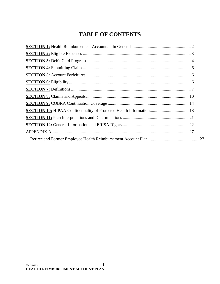# **TABLE OF CONTENTS**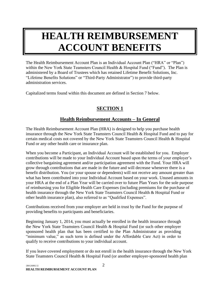# **HEALTH REIMBURSEMENT ACCOUNT BENEFITS**

The Health Reimbursement Account Plan is an Individual Account Plan ("HRA" or "Plan") within the New York State Teamsters Council Health & Hospital Fund ("Fund"). The Plan is administered by a Board of Trustees which has retained Lifetime Benefit Solutions, Inc. "Lifetime Benefits Solutions" or "Third-Party Administrator") to provide third-party administration services.

Capitalized terms found within this document are defined in Section 7 below.

# **SECTION 1**

# **Health Reimbursement Accounts – In General**

<span id="page-2-0"></span>The Health Reimbursement Account Plan (HRA) is designed to help you purchase health insurance through the New York State Teamsters Council Health & Hospital Fund and to pay for certain medical costs not covered by the New York State Teamsters Council Health & Hospital Fund or any other health care or insurance plan.

When you become a Participant, an Individual Account will be established for you. Employer contributions will be made to your Individual Account based upon the terms of your employer's collective bargaining agreement and/or participation agreement with the Fund. Your HRA will grow through contributions that are made in the future and will decrease whenever there is a benefit distribution. You (or your spouse or dependents) will not receive any amount greater than what has been contributed into your Individual Account based on your work. Unused amounts in your HRA at the end of a Plan Year will be carried over to future Plan Years for the sole purpose of reimbursing you for Eligible Health Care Expenses (including premiums for the purchase of health insurance through the New York State Teamsters Council Health & Hospital Fund or other health insurance plan), also referred to as "Qualified Expenses".

Contributions received from your employer are held in trust by the Fund for the purpose of providing benefits to participants and beneficiaries.

Beginning January 1, 2014, you must actually be enrolled in the health insurance through the New York State Teamsters Council Health & Hospital Fund (or such other employer sponsored health plan that has been certified to the Plan Administrator as providing "minimum value," as such term is defined under the Affordable Care Act) in order to qualify to receive contributions to your individual account.

If you leave covered employment or do not enroll in the health insurance through the New York State Teamsters Council Health & Hospital Fund (or another employer-sponsored health plan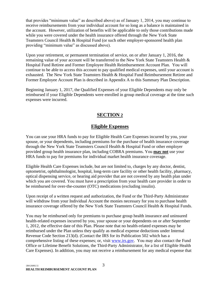that provides "minimum value" as described above) as of January 1, 2014, you may continue to receive reimbursements from your individual account for so long as a balance is maintained in the account. However, utilization of benefits will be applicable to only those contributions made while you were covered under the health insurance offered through the New York State Teamsters Council Health & Hospital Fund (or such other employer-sponsored health plan providing "minimum value" as discussed above).

Upon your retirement, or permanent termination of service, on or after January 1, 2016, the remaining value of your account will be transferred to the New York State Teamsters Health & Hospital Fund Retiree and Former Employee Health Reimbursement Account Plan. You will continue to be able to access this account to pay qualified medical expenses, until your account is exhausted. The New York State Teamsters Health & Hospital Fund Reimbursement Retiree and Former Employee Account Plan is described in Appendix A to this Summary Plan Description.

Beginning January 1, 2017, the Qualified Expenses of your Eligible Dependents may only be reimbursed if your Eligible Dependents were enrolled in group medical coverage at the time such expenses were incurred.

# **SECTION 2**

# **Eligible Expenses**

<span id="page-3-0"></span>You can use your HRA funds to pay for Eligible Health Care Expenses incurred by you, your spouse, or your dependents, including premiums for the purchase of health insurance coverage through the New York State Teamsters Council Health & Hospital Fund or other employer provided group health insurance plan, including COBRA premiums. You **may not** use your HRA funds to pay for premiums for individual market health insurance coverage.

Eligible Health Care Expenses include, but are not limited to, charges by any doctor, dentist, optometrist, ophthalmologist, hospital, long-term care facility or other health facility, pharmacy, optical dispensing service, or hearing aid provider that are not covered by any health plan under which you are covered. You must have a prescription from your health care provider in order to be reimbursed for over-the-counter (OTC) medications (excluding insulin).

Upon receipt of a written request and authorization, the Fund or the Third-Party Administrator will withdraw from your Individual Account the monies necessary for you to purchase health insurance coverage offered by the New York State Teamsters Council Health & Hospital Funds.

You may be reimbursed only for premiums to purchase group health insurance and uninsured health-related expenses incurred by you, your spouse or your dependents on or after September 1, 2012, the effective date of this Plan. Please note that no health-related expenses may be reimbursed under the Plan unless they qualify as medical expense deductions under Internal Revenue Code Section 213(d). (Contact the IRS for its Publication 502 which has a comprehensive listing of these expenses; or, visit [www.irs.gov.](http://www.irs.gov/) You may also contact the Fund Office or Lifetime Benefit Solutions, the Third-Party Administrator, for a list of Eligible Health Care Expenses). In addition, you may not receive a reimbursement for any medical expense that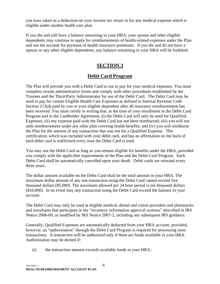you have taken as a deduction on your income tax return or for any medical expense which is eligible under another health care plan.

If you die and still have a balance remaining in your HRA, your spouse and other eligible dependents may continue to apply for reimbursements of health-related expenses under the Plan and use the account for payment of health insurance premiums. If you die and do not have a spouse or any other eligible dependents, any balance remaining in your HRA will be forfeited.

# **SECTION 3**

# **Debit Card Program**

<span id="page-4-0"></span>The Plan will provide you with a Debit Card to use to pay for your medical expenses. You must complete certain administrative forms and comply with other procedures established by the Trustees and the Third-Party Administrator for use of the Debit Card. The Debit Card may be used to pay for certain Eligible Health Care Expenses as defined in Internal Revenue Code Section 213(d) paid by you or your eligible dependent after all insurance reimbursement has been received. You must certify in writing that, at the time of your enrollment in the Debit Card Program and in the Cardholder Agreement, (i) the Debit Card will only be used for Qualified Expenses; (ii) any expense paid with the Debit Card has not been reimbursed; (iii) you will not seek reimbursement under any other plan covering health benefits; and (iv) you will reimburse the Plan for the amount of any transaction that was not for a Qualified Expense. This certification, which was included with your debit card, and has an affirmation on the back of each debit card is reaffirmed every time the Debit Card is used.

You may use the Debit Card as long as you remain eligible for benefits under the HRA, provided you comply with the applicable requirements of the Plan and the Debit Card Program. Such Debit Card shall be automatically cancelled upon your death. Debit cards are reissued every three years.

The dollar amount available on the Debit Card shall be the total amount in your HRA. The maximum dollar amount of any one transaction using the Debit Card cannot exceed five thousand dollars (\$5,000). The maximum allowed per 24 hour period is ten thousand dollars (\$10,000). In no event may any transaction using the Debit Card exceed the balance in your account.

The Debit Card may only be used at eligible medical, dental and vision providers and pharmacies and merchants that participate in the "inventory information approval systems" described in IRS Notice 2006-69, as modified by IRS Notice 2007-2, including any subsequent IRS guidance.

Generally, Qualified Expenses are automatically deducted from your HRA account, provided, however, an "authorization" through the Debit Card Program is required for processing most transactions. A transaction will be authorized only if there are funds available in your HRA. Authorization may be denied if:

(i) the transaction amount exceeds available funds in your HRA;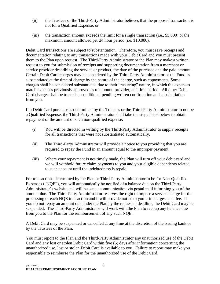- (ii) the Trustees or the Third-Party Administrator believes that the proposed transaction is not for a Qualified Expense, or
- (iii) the transaction amount exceeds the limit for a single transaction (i.e., \$5,000) or the maximum amount allowed per 24 hour period (i.e. \$10,000).

Debit Card transactions are subject to substantiation. Therefore, you must save receipts and documentation relating to any transactions made with your Debit Card and you must present them to the Plan upon request. The Third-Party Administrator or the Plan may make a written request to you for submission of receipts and supporting documentation from a merchant or service provider describing the service or product, the date of the purchase and the paid amount. Certain Debit Card charges may be considered by the Third-Party Administrator or the Fund as substantiated at the time of charge by the nature of the charge, such as copayments. Some charges shall be considered substantiated due to their "recurring" nature, in which the expenses match expenses previously approved as to amount, provider, and time period. All other Debit Card charges shall be treated as conditional pending written confirmation and substantiation from you.

If a Debit Card purchase is determined by the Trustees or the Third-Party Administrator to not be a Qualified Expense, the Third-Party Administrator shall take the steps listed below to obtain repayment of the amount of such non-qualified expense:

- (i) You will be directed in writing by the Third-Party Administrator to supply receipts for all transactions that were not substantiated automatically.
- (ii) The Third-Party Administrator will provide a notice to you providing that you are required to repay the Fund in an amount equal to the improper payment.
- (iii) Where your repayment is not timely made, the Plan will turn off your debit card and we will withhold future claim payments to you and your eligible dependents related to such account until the indebtedness is repaid.

For transactions determined by the Plan or Third-Party Administrator to be for Non-Qualified Expenses ("NQE"), you will automatically be notified of a balance due on the Third-Party Administrator's website and will be sent a communication via postal mail informing you of the amount due. The Third-Party Administrator reserves the right to impose a service charge for the processing of each NQE transaction and it will provide notice to you if it charges such fee. If you do not repay an amount due under the Plan by the requested deadline, the Debit Card may be suspended. The Third-Party Administrator will work with the Plan to recoup any balance due from you to the Plan for the reimbursement of any such NQE.

A Debit Card may be suspended or cancelled at any time at the discretion of the issuing bank or by the Trustees of the Plan.

You must report to the Plan and the Third-Party Administrator any unauthorized use of the Debit Card and any lost or stolen Debit Card within five (5) days after information concerning the unauthorized use, lost or stolen Debit Card is available to you. Failure to report may make you responsible to reimburse the Plan for the unauthorized use of the Debit Card.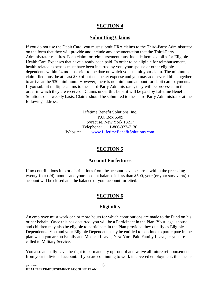## **SECTION 4**

## **Submitting Claims**

<span id="page-6-0"></span>If you do not use the Debit Card, you must submit HRA claims to the Third-Party Administrator on the form that they will provide and include any documentation that the Third-Party Administrator requires. Each claim for reimbursement must include itemized bills for Eligible Health Care Expenses that have already been paid. In order to be eligible for reimbursement, health-related expenses must have been incurred by you, your spouse or other eligible dependents within 24 months prior to the date on which you submit your claim. The minimum claim filed must be at least \$30 of out-of-pocket expense and you may add several bills together to arrive at the \$30 minimum. However, there is no minimum amount for debit card payments. If you submit multiple claims to the Third-Party Administrator, they will be processed in the order in which they are received. Claims under this benefit will be paid by Lifetime Benefit Solutions on a weekly basis. Claims should be submitted to the Third-Party Administrator at the following address:

> Lifetime Benefit Solutions, Inc. P.O. Box 6509 Syracuse, New York 13217 Telephone: 1-800-327-7130 Website: [www.LifetimeBenefitSolutions.com](http://www.lifetimebenefitsolutions.com/)

# **SECTION 5**

## **Account Forfeitures**

<span id="page-6-1"></span>If no contributions into or distributions from the account have occurred within the preceding twenty-four (24) months and your account balance is less than \$500, your (or your survivor(s)') account will be closed and the balance of your account forfeited.

# **SECTION 6**

## **Eligibility**

<span id="page-6-2"></span>An employee must work one or more hours for which contributions are made to the Fund on his or her behalf. Once this has occurred, you will be a Participant in the Plan. Your legal spouse and children may also be eligible to participate in the Plan provided they qualify as Eligible Dependents. You and your Eligible Dependents may be entitled to continue to participate in the plan when you are on Family and Medical Leave , New York Paid Family Leave, or you are called to Military Service.

You also annually have the right to permanently opt-out of and waive all future reimbursements from your individual account. If you are continuing to work in covered employment, this means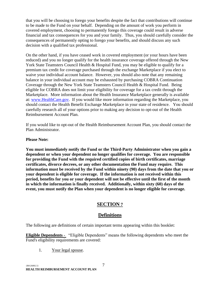that you will be choosing to forego your benefits despite the fact that contributions will continue to be made to the Fund on your behalf. Depending on the amount of work you perform in covered employment, choosing to permanently forego this coverage could result in adverse financial and tax consequences for you and your family. Thus, you should carefully consider the consequences of permanently opting to forego your benefits, and should discuss any such decision with a qualified tax professional.

On the other hand, if you have ceased work in covered employment (or your hours have been reduced) and you no longer qualify for the health insurance coverage offered through the New York State Teamsters Council Health & Hospital Fund, you may be eligible to qualify for a premium tax credit for coverage purchased through the exchange Marketplace if you elect to waive your individual account balance. However, you should also note that any remaining balance in your individual account may be exhausted by purchasing COBRA Continuation Coverage through the New York State Teamsters Council Health & Hospital Fund. Being eligible for COBRA does not limit your eligibility for coverage for a tax credit through the Marketplace. More information about the Health Insurance Marketplace generally is available at: [www.HealthCare.gov.](http://www.healthcare.gov/) If you would like more information regarding the Marketplace, you should contact the Health Benefit Exchange Marketplace in your state of residence. You should carefully research all of your options prior to making any decision to opt-out of the Health Reimbursement Account Plan.

If you would like to opt-out of the Health Reimbursement Account Plan, you should contact the Plan Administrator.

#### **Please Note:**

**You must immediately notify the Fund or the Third-Party Administrator when you gain a dependent or when your dependent no longer qualifies for coverage. You are responsible for providing the Fund with the required certified copies of birth certificates, marriage certificates, divorce decrees, or any other documentation the Fund may require. This information must be received by the Fund within ninety (90) days from the date that you or your dependent is eligible for coverage. If the information is not received within this period, benefits for you or your dependent will not be effective until the first of the month in which the information is finally received. Additionally, within sixty (60) days of the event, you must notify the Plan when your dependent is no longer eligible for coverage.**

## **SECTION 7**

## **Definitions**

<span id="page-7-0"></span>The following are definitions of certain important terms appearing within this booklet:

**Eligible Dependents** - "Eligible Dependents" means the following dependents who meet the Fund's eligibility requirements are covered:

1. Your legal spouse.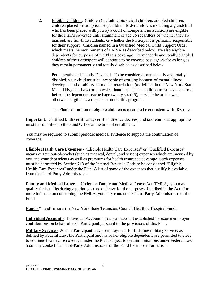2. Eligible Children**.** Children (including biological children, adopted children, children placed for adoption, stepchildren, foster children, including a grandchild who has been placed with you by a court of competent jurisdiction) are eligible for the Plan's coverage until attainment of age 26 regardless of whether they are married, are full-time students, or whether the Participant is primarily responsible for their support. Children named in a Qualified Medical Child Support Order which meets the requirements of ERISA as described below, are also eligible dependents for purposes of the Plan's coverage. Permanently and totally disabled children of the Participant will continue to be covered past age 26 for as long as they remain permanently and totally disabled as described below.

Permanently and Totally Disabled.To be considered permanently and totally disabled, your child must be incapable of working because of mental illness, developmental disability, or mental retardation, (as defined in the New York State Mental Hygiene Law) or a physical handicap. This condition must have occurred **before** the dependent reached age twenty six (26), or while he or she was otherwise eligible as a dependent under this program.

The Plan's definition of eligible children is meant to be consistent with IRS rules.

**Important:** Certified birth certificates, certified divorce decrees, and tax returns as appropriate must be submitted to the Fund Office at the time of enrollment.

You may be required to submit periodic medical evidence to support the continuation of coverage.

**Eligible Health Care Expenses -** "Eligible Health Care Expenses" or "Qualified Expenses" means certain out-of-pocket (such as medical, dental, and vision) expenses which are incurred by you and your dependents as well as premiums for health insurance coverage. Such expenses must be permitted by Section 213 of the Internal Revenue Code to be considered "Eligible Health Care Expenses" under the Plan. A list of some of the expenses that qualify is available from the Third-Party Administrator.

**Family and Medical Leave -** Under the Family and Medical Leave Act (FMLA), you may qualify for benefits during a period you are on leave for the purposes described in the Act. For more information concerning the FMLA, you may contact the Third-Party Administrator or the Fund.

**Fund -** "Fund" means the New York State Teamsters Council Health & Hospital Fund.

**Individual Account -** "Individual Account" means an account established to receive employer contributions on behalf of each Participant pursuant to the provisions of this Plan.

**Military Service -** When a Participant leaves employment for full-time military service, as defined by Federal Law, the Participant and his or her eligible dependents are permitted to elect to continue health care coverage under the Plan, subject to certain limitations under Federal Law. You may contact the Third-Party Administrator or the Fund for more information.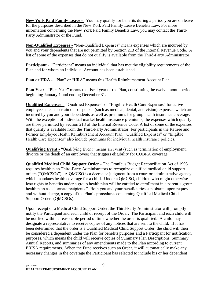**New York Paid Family Leave -** You may qualify for benefits during a period you are on leave for the purposes described in the New York Paid Family Leave Benefits Law. For more information concerning the New York Paid Family Benefits Law, you may contact the Third-Party Administrator or the Fund.

**Non-Qualified Expenses -** "Non-Qualified Expenses" means expenses which are incurred by you and your dependents that are not permitted by Section 213 of the Internal Revenue Code. A list of some of the expenses that do not qualify is available from the Third-Party Administrator.

**Participant -** "Participant" means an individual that has met the eligibility requirements of the Plan and for whom an Individual Account has been established.

**Plan or HRA -** "Plan" or "HRA" means this Health Reimbursement Account Plan.

**Plan Year -** "Plan Year" means the fiscal year of the Plan, constituting the twelve month period beginning January 1 and ending December 31.

**Qualified Expenses – "**Qualified Expenses" or "Eligible Health Care Expenses" for active employees means certain out-of-pocket (such as medical, dental, and vision) expenses which are incurred by you and your dependents as well as premiums for group health insurance coverage. With the exception of individual market health insurance premiums, the expenses which qualify are those permitted by Section 213 of the Internal Revenue Code. A list of some of the expenses that qualify is available from the Third-Party Administrator. For participants in the Retiree and Former Employee Health Reimbursement Account Plan, "Qualified Expenses" or "Eligible Health Care Expenses" also include premiums for individual health insurance policies.

**Qualifying Event -** "Qualifying Event" means an event (such as termination of employment, divorce or the death of an employee) that triggers eligibility for COBRA coverage.

**Qualified Medical Child Support Order -** The Omnibus Budget Reconciliation Act of 1993 requires health plan Third-Party Administrators to recognize qualified medical child support orders ("QMCSOs"). A QMCSO is a decree or judgment from a court or administrative agency which mandates health coverage for a child. Under a QMCSO, children who might otherwise lose rights to benefits under a group health plan will be entitled to enrollment in a parent's group health plan as "alternate recipients." Both you and your beneficiaries can obtain, upon request and without charge, a copy of the Plan's procedures concerning Qualified Medical Child Support Orders (QMCSOs).

Upon receipt of a Medical Child Support Order, the Third-Party Administrator will promptly notify the Participant and each child of receipt of the Order. The Participant and each child will be notified within a reasonable period of time whether the order is qualified. A child may designate a representative to receive copies of any notices that are sent to the child. If it has been determined that the order is a Qualified Medical Child Support Order, the child will then be considered a dependent under the Plan for benefits purposes and a Participant for notification purposes, which means the child will receive copies of Summary Plan Descriptions, Summary Annual Reports, and summaries of any amendments made to the Plan according to current ERISA requirements. When the Fund receives such an Order, it will automatically make any necessary changes in the coverage the Participant has selected to include his or her dependent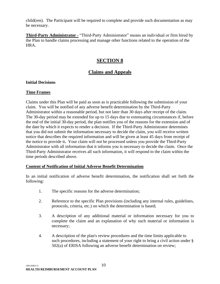child(ren). The Participant will be required to complete and provide such documentation as may be necessary.

**Third-Party Administrator -** "Third-Party Administrator" means an individual or firm hired by the Plan to handle claims processing and manage other functions related to the operation of the HRA.

# **SECTION 8**

## **Claims and Appeals**

#### <span id="page-10-0"></span>**Initial Decisions**

#### **Time Frames**

Claims under this Plan will be paid as soon as is practicable following the submission of your claim. You will be notified of any adverse benefit determination by the Third-Party Administrator within a reasonable period, but not later than 30 days after receipt of the claim. The 30-day period may be extended for up to 15 days due to extenuating circumstances if, before the end of the initial 30-day period, the plan notifies you of the reasons for the extension and of the date by which it expects to render a decision. If the Third-Party Administrator determines that you did not submit the information necessary to decide the claim, you will receive written notice that describes the required information and will be given at least 45 days from receipt of the notice to provide it**.** Your claim will not be processed unless you provide the Third-Party Administrator with all information that it informs you is necessary to decide the claim. Once the Third-Party Administrator receives all such information, it will respond to the claim within the time periods described above.

#### **Content of Notification of Initial Adverse Benefit Determination**

In an initial notification of adverse benefit determination, the notification shall set forth the following:

- 1. The specific reasons for the adverse determination;
- 2. Reference to the specific Plan provisions (including any internal rules, guidelines, protocols, criteria, etc.) on which the determination is based;
- 3. A description of any additional material or information necessary for you to complete the claim and an explanation of why such material or information is necessary;
- 4. A description of the plan's review procedures and the time limits applicable to such procedures, including a statement of your right to bring a civil action under § 502(a) of ERISA following an adverse benefit determination on review;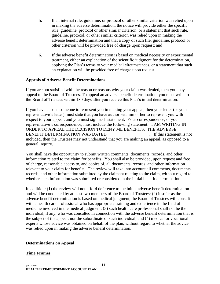- 5. If an internal rule, guideline, or protocol or other similar criterion was relied upon in making the adverse determination, the notice will provide either the specific rule, guideline, protocol or other similar criterion, or a statement that such rule, guideline, protocol, or other similar criterion was relied upon in making the adverse benefit determination and that a copy of such file, guideline, protocol or other criterion will be provided free of charge upon request; and
- 6. If the adverse benefit determination is based on medical necessity or experimental treatment, either an explanation of the scientific judgment for the determination, applying the Plan's terms to your medical circumstances, or a statement that such an explanation will be provided free of charge upon request.

#### **Appeals of Adverse Benefit Determinations**

If you are not satisfied with the reason or reasons why your claim was denied, then you may appeal to the Board of Trustees. To appeal an adverse benefit determination, you must write to the Board of Trustees within 180 days after you receive this Plan's initial determination.

If you have chosen someone to represent you in making your appeal, then your letter (or your representative's letter) must state that you have authorized him or her to represent you with respect to your appeal, and you must sign such statement. Your correspondence, or your representative's correspondence, must include the following statement: "I AM WRITING IN ORDER TO APPEAL THE DECISION TO DENY ME BENEFITS. THE ADVERSE BENEFIT DETERMINATION WAS DATED \_\_\_\_\_\_\_\_\_\_\_\_\_\_\_\_\_." If this statement is not included, then the Trustees may not understand that you are making an appeal, as opposed to a general inquiry.

You shall have the opportunity to submit written comments, documents, records, and other information related to the claim for benefits. You shall also be provided, upon request and free of charge, reasonable access to, and copies of, all documents, records, and other information relevant to your claim for benefits. The review will take into account all comments, documents, records, and other information submitted by the claimant relating to the claim, without regard to whether such information was submitted or considered in the initial benefit determination.

In addition: (1) the review will not afford deference to the initial adverse benefit determination and will be conducted by at least two members of the Board of Trustees; (2) insofar as the adverse benefit determination is based on medical judgment, the Board of Trustees will consult with a health care professional who has appropriate training and experience in the field of medicine involved in the medical judgment; (3) such health care professional shall not be the individual, if any, who was consulted in connection with the adverse benefit determination that is the subject of the appeal, nor the subordinate of such individual; and (4) medical or vocational experts whose advice was obtained on behalf of the plan, without regard to whether the advice was relied upon in making the adverse benefit determination.

#### **Determinations on Appeal**

#### **Time Frames**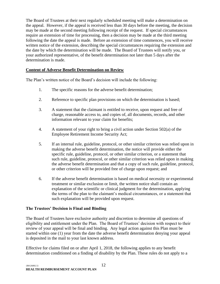The Board of Trustees at their next regularly scheduled meeting will make a determination on the appeal. However, if the appeal is received less than 30 days before the meeting, the decision may be made at the second meeting following receipt of the request. If special circumstances require an extension of time for processing, then a decision may be made at the third meeting following the date the appeal is made. Before an extension of time commences, you will receive written notice of the extension, describing the special circumstances requiring the extension and the date by which the determination will be made. The Board of Trustees will notify you, or your authorized representative, of the benefit determination not later than 5 days after the determination is made.

#### **Content of Adverse Benefit Determination on Review**

The Plan's written notice of the Board's decision will include the following:

- 1. The specific reasons for the adverse benefit determination;
- 2. Reference to specific plan provisions on which the determination is based;
- 3. A statement that the claimant is entitled to receive, upon request and free of charge, reasonable access to, and copies of, all documents, records, and other information relevant to your claim for benefits;
- 4. A statement of your right to bring a civil action under Section 502(a) of the Employee Retirement Income Security Act;
- 5. If an internal rule, guideline, protocol, or other similar criterion was relied upon in making the adverse benefit determination, the notice will provide either the specific rule, guideline, protocol, or other similar criterion, or a statement that such rule, guideline, protocol, or other similar criterion was relied upon in making the adverse benefit determination and that a copy of such rule, guideline, protocol, or other criterion will be provided free of charge upon request; and
- 6. If the adverse benefit determination is based on medical necessity or experimental treatment or similar exclusion or limit, the written notice shall contain an explanation of the scientific or clinical judgment for the determination, applying the terms of the plan to the claimant's medical circumstances, or a statement that such explanation will be provided upon request.

#### **The Trustees' Decision is Final and Binding**

The Board of Trustees have exclusive authority and discretion to determine all questions of eligibility and entitlement under the Plan. The Board of Trustees' decision with respect to their review of your appeal will be final and binding. Any legal action against this Plan must be started within one (1) year from the date the adverse benefit determination denying your appeal is deposited in the mail to your last known address.

Effective for claims filed on or after April 1, 2018, the following applies to any benefit determination conditioned on a finding of disability by the Plan. These rules do not apply to a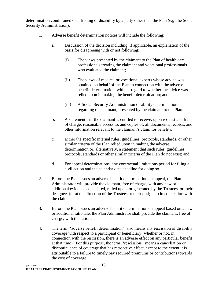determination conditioned on a finding of disability by a party other than the Plan (e.g. the Social Security Administration).

- 1. Adverse benefit determination notices will include the following:
	- a. Discussion of the decision including, if applicable, an explanation of the basis for disagreeing with or not following:
		- (i) The views presented by the claimant to the Plan of health care professionals treating the claimant and vocational professionals who evaluated the claimant;
		- (ii) The views of medical or vocational experts whose advice was obtained on behalf of the Plan in connection with the adverse benefit determination, without regard to whether the advice was relied upon in making the benefit determination; and
		- (iii) A Social Security Administration disability determination regarding the claimant, presented by the claimant to the Plan.
	- b. A statement that the claimant is entitled to receive, upon request and free of charge, reasonable access to, and copies of, all documents, records, and other information relevant to the claimant's claim for benefits;
	- c. Either the specific internal rules, guidelines, protocols, standards, or other similar criteria of the Plan relied upon in making the adverse determination or, alternatively, a statement that such rules, guidelines, protocols, standards or other similar criteria of the Plan do not exist; and
	- d. For appeal determinations, any contractual limitations period for filing a civil action and the calendar date deadline for doing so.
- 2. Before the Plan issues an adverse benefit determination on appeal, the Plan Administrator will provide the claimant, free of charge, with any new or additional evidence considered, relied upon, or generated by the Trustees, or their designee, (or at the direction of the Trustees or their designee) in connection with the claim.
- 3. Before the Plan issues an adverse benefit determination on appeal based on a new or additional rationale, the Plan Administrator shall provide the claimant, free of charge, with the rationale.
- 4. The term ''adverse benefit determination'' also means any rescission of disability coverage with respect to a participant or beneficiary (whether or not, in connection with the rescission, there is an adverse effect on any particular benefit at that time). For this purpose, the term ''rescission'' means a cancellation or discontinuance of coverage that has retroactive effect, except to the extent it is attributable to a failure to timely pay required premiums or contributions towards the cost of coverage.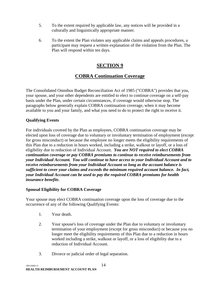- 5. To the extent required by applicable law, any notices will be provided in a culturally and linguistically appropriate manner.
- 6. To the extent the Plan violates any applicable claims and appeals procedures, a participant may request a written explanation of the violation from the Plan. The Plan will respond within ten days.

# **SECTION 9**

# **COBRA Continuation Coverage**

<span id="page-14-0"></span>The Consolidated Omnibus Budget Reconciliation Act of 1985 ("COBRA") provides that you, your spouse, and your other dependents are entitled to elect to continue coverage on a self-pay basis under the Plan, under certain circumstances, if coverage would otherwise stop. The paragraphs below generally explain COBRA continuation coverage, when it may become available to you and your family, and what you need to do to protect the right to receive it.

## **Qualifying Events**

For individuals covered by the Plan as employees, COBRA continuation coverage may be elected upon loss of coverage due to voluntary or involuntary termination of employment (except for gross misconduct) or because the employee no longer meets the eligibility requirements of this Plan due to a reduction in hours worked, including a strike, walkout or layoff, or a loss of eligibility due to reduction of Individual Account. *You are NOT required to elect COBRA continuation coverage or pay COBRA premiums to continue to receive reimbursements from your Individual Account. You will continue to have access to your Individual Account and to receive reimbursements from your Individual Account so long as the account balance is sufficient to cover your claims and exceeds the minimum required account balance. In fact, your Individual Account can be used to pay the required COBRA premiums for health insurance benefits*.

## **Spousal Eligibility for COBRA Coverage**

Your spouse may elect COBRA continuation coverage upon the loss of coverage due to the occurrence of any of the following Qualifying Events:

- 1. Your death.
- 2. Your spouse's loss of coverage under the Plan due to voluntary or involuntary termination of your employment (except for gross misconduct) or because you no longer meet the eligibility requirements of this Plan due to a reduction in hours worked including a strike, walkout or layoff, or a loss of eligibility due to a reduction of Individual Account.
- 3. Divorce or judicial order of legal separation.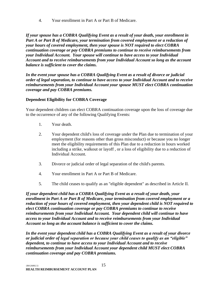4. Your enrollment in Part A or Part B of Medicare.

*If your spouse has a COBRA Qualifying Event as a result of your death, your enrollment in Part A or Part B of Medicare, your termination from covered employment or a reduction of your hours of covered employment, then your spouse is NOT required to elect COBRA continuation coverage or pay COBRA premiums to continue to receive reimbursements from your Individual Account. Your spouse will continue to have access to your Individual Account and to receive reimbursements from your Individual Account so long as the account balance is sufficient to cover the claims.* 

*In the event your spouse has a COBRA Qualifying Event as a result of divorce or judicial order of legal separation, to continue to have access to your Individual Account and to receive reimbursements from your Individual Account your spouse MUST elect COBRA continuation coverage and pay COBRA premiums.*

## **Dependent Eligibility for COBRA Coverage**

Your dependent children can elect COBRA continuation coverage upon the loss of coverage due to the occurrence of any of the following Qualifying Events:

- 1. Your death.
- 2. Your dependent child's loss of coverage under the Plan due to termination of your employment (for reasons other than gross misconduct) or because you no longer meet the eligibility requirements of this Plan due to a reduction in hours worked including a strike, walkout or layoff , or a loss of eligibility due to a reduction of Individual Account.
- 3. Divorce or judicial order of legal separation of the child's parents.
- 4. Your enrollment in Part A or Part B of Medicare.
- 5. The child ceases to qualify as an "eligible dependent" as described in Article II.

*If your dependent child has a COBRA Qualifying Event as a result of your death, your enrollment in Part A or Part B of Medicare, your termination from covered employment or a reduction of your hours of covered employment, then your dependent child is NOT required to elect COBRA continuation coverage or pay COBRA premiums to continue to receive reimbursements from your Individual Account. Your dependent child will continue to have access to your Individual Account and to receive reimbursements from your Individual Account so long as the account balance is sufficient to cover the claims.*

*In the event your dependent child has a COBRA Qualifying Event as a result of your divorce or judicial order of legal separation or because your child ceases to qualify as an "eligible" dependent, to continue to have access to your Individual Account and to receive reimbursements from your Individual Account your dependent child MUST elect COBRA continuation coverage and pay COBRA premiums.*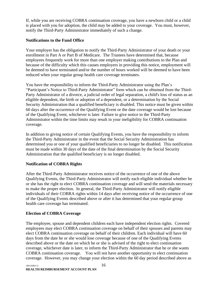If, while you are receiving COBRA continuation coverage, you have a newborn child or a child is placed with you for adoption, the child may be added to your coverage. You must, however, notify the Third-Party Administrator immediately of such a change.

#### **Notifications to the Fund Office**

Your employer has the obligation to notify the Third-Party Administrator of your death or your enrollment in Part A or Part B of Medicare. The Trustees have determined that, because employees frequently work for more than one employer making contributions to the Plan and because of the difficulty which this causes employers in providing this notice, employment will be deemed to have terminated and/or the number of hours worked will be deemed to have been reduced when your regular group health care coverage terminates.

You have the responsibility to inform the Third-Party Administrator using the Plan's "Participant's Notice to Third-Party Administrator" form which can be obtained from the Third-Party Administrator of a divorce, a judicial order of legal separation, a child's loss of status as an eligible dependent, the birth or adoption of a dependent, or a determination by the Social Security Administration that a qualified beneficiary is disabled. This notice must be given within 60 days after the occurrence of the Qualifying Event or the date coverage would be lost because of the Qualifying Event, whichever is later. Failure to give notice to the Third-Party Administrator within the time limits may result in your ineligibility for COBRA continuation coverage.

In addition to giving notice of certain Qualifying Events, you have the responsibility to inform the Third-Party Administrator in the event that the Social Security Administration has determined you or one of your qualified beneficiaries to no longer be disabled. This notification must be made within 30 days of the date of the final determination by the Social Security Administration that the qualified beneficiary is no longer disabled.

## **Notification of COBRA Rights**

After the Third-Party Administrator receives notice of the occurrence of one of the above Qualifying Events, the Third-Party Administrator will notify each eligible individual whether he or she has the right to elect COBRA continuation coverage and will send the materials necessary to make the proper election. In general, the Third-Party Administrator will notify eligible individuals of their COBRA rights within 14 days after receiving notice of the occurrence of one of the Qualifying Events described above or after it has determined that your regular group health care coverage has terminated.

#### **Election of COBRA Coverage**

The employee, spouse and dependent children each have independent election rights. Covered employees may elect COBRA continuation coverage on behalf of their spouses and parents may elect COBRA continuation coverage on behalf of their children. Each individual will have 60 days from the date he or she would lose coverage because of one of the Qualifying Events described above or the date on which he or she is advised of the right to elect continuation coverage, whichever date is later, to inform the Third-Party Administrator that he or she wants COBRA continuation coverage. You will not have another opportunity to elect continuation coverage. However, you may change your election within the 60 day period described above as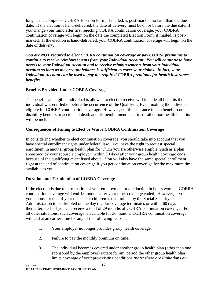long as the completed COBRA Election Form, if mailed, is post-marked no later than the due date. If the election is hand-delivered, the date of delivery must be on or before the due date. If you change your mind after first rejecting COBRA continuation coverage, your COBRA continuation coverage will begin on the date the completed Election Form, if mailed, is postmarked. If the election is hand-delivered, your COBRA continuation coverage will begin on the date of delivery.

*You are NOT required to elect COBRA continuation coverage or pay COBRA premiums to continue to receive reimbursements from your Individual Account. You will continue to have access to your Individual Account and to receive reimbursements from your individual account so long as the account balance is sufficient to cover your claims. In fact, your Individual Account can be used to pay the required COBRA premiums for health insurance benefits.*

## **Benefits Provided Under COBRA Coverage**

The benefits an eligible individual is allowed to elect to receive will include all benefits the individual was entitled to before the occurrence of the Qualifying Event making the individual eligible for COBRA continuation coverage. However, no life insurance (death benefits) or disability benefits or accidental death and dismemberment benefits or other non-health benefits will be included.

## **Consequences of Failing to Elect or Waive COBRA Continuation Coverage**

In considering whether to elect continuation coverage, you should take into account that you have special enrollment rights under federal law. You have the right to request special enrollment in another group health plan for which you are otherwise eligible (such as a plan sponsored by your spouse's employer) within 30 days after your group health coverage ends because of the qualifying event listed above. You will also have the same special enrollment right at the end of continuation coverage if you get continuation coverage for the maximum time available to you.

## **Duration and Termination of COBRA Coverage**

If the election is due to termination of your employment or a reduction in hours worked, COBRA continuation coverage will end 18 months after your other coverage ended. However, if you, your spouse or one of your dependent children is determined by the Social Security Administration to be disabled on the day regular coverage terminates or within 60 days thereafter, each of you can receive a total of 29 months of COBRA continuation coverage. For all other situations, such coverage is available for 36 months. COBRA continuation coverage will end at an earlier time for any of the following reasons:

- 1. Your employer no longer provides group health coverage.
- 2. Failure to pay the monthly premium on time.
- 3. The individual becomes covered under another group health plan (other than one sponsored by the employer) except for any period the other group health plan limits coverage of your pre-existing conditions *(note: there are limitations on*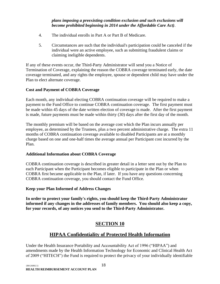#### *plans imposing a preexisting condition exclusion and such exclusions will become prohibited beginning in 2014 under the Affordable Care Act)*.

- 4. The individual enrolls in Part A or Part B of Medicare.
- 5. Circumstances are such that the individual's participation could be canceled if the individual were an active employee, such as submitting fraudulent claims or claiming ineligible dependents.

If any of these events occur, the Third-Party Administrator will send you a Notice of Termination of Coverage, explaining the reason the COBRA coverage terminated early, the date coverage terminated, and any rights the employee, spouse or dependent child may have under the Plan to elect alternate coverage.

## **Cost and Payment of COBRA Coverage**

Each month, any individual electing COBRA continuation coverage will be required to make a payment to the Fund Office to continue COBRA continuation coverage. The first payment must be made within 45 days of the date written election of coverage is made. After the first payment is made, future payments must be made within thirty (30) days after the first day of the month.

The monthly premium will be based on the average cost which the Plan incurs annually per employee, as determined by the Trustees, plus a two percent administrative charge. The extra 11 months of COBRA continuation coverage available to disabled Participants are at a monthly charge based on one and one-half times the average annual per Participant cost incurred by the Plan.

## **Additional Information about COBRA Coverage**

COBRA continuation coverage is described in greater detail in a letter sent out by the Plan to each Participant when the Participant becomes eligible to participate in the Plan or when COBRA first became applicable to the Plan, if later. If you have any questions concerning COBRA continuation coverage, you should contact the Fund Office.

#### **Keep your Plan Informed of Address Changes**

**In order to protect your family's rights, you should keep the Third-Party Administrator informed if any changes in the addresses of family members. You should also keep a copy, for your records, of any notices you send to the Third-Party Administrator.** 

# **SECTION 10**

# **HIPAA Confidentiality of Protected Health Information**

<span id="page-18-0"></span>Under the Health Insurance Portability and Accountability Act of 1996 ("HIPAA") and amendments made by the Health Information Technology for Economic and Clinical Health Act of 2009 ("HITECH") the Fund is required to protect the privacy of your individually identifiable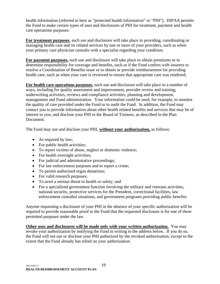health information (referred to here as "protected health information" or "PHI"). HIPAA permits the Fund to make certain types of uses and disclosures of PHI for treatment, payment and health care operations purposes:

**For treatment purposes**, such use and disclosure will take place in providing, coordinating or managing health care and its related services by one or more of your providers, such as when your primary care physician consults with a specialist regarding your condition;

**For payment purposes,** such use and disclosure will take place to obtain premiums or to determine responsibility for coverage and benefits, such as if the Fund confers with insurers to resolve a Coordination of Benefits issue or to obtain or provide reimbursement for providing health care, such as when your case is reviewed to ensure that appropriate care was rendered;

**For health care operations purposes,** such use and disclosure will take place in a number of ways, including for quality assessment and improvement, provider review and training, underwriting activities, reviews and compliance activities, planning and development, management and Fund administration. Your information could be used, for example, to monitor the quality of care provided under the Fund or to audit the Fund. In addition, the Fund may contact you to provide information about other health related benefits and services that may be of interest to you; and disclose your PHI to the Board of Trustees, as described in the Plan Document.

The Fund may use and disclose your PHI, **without your authorization,** as follows:

- As required by law;
- For public health activities;
- To report victims of abuse, neglect or domestic violence;
- For health oversight activities;
- For judicial and administrative proceedings;
- For law enforcement purposes and to report a crime;
- To permit authorized organ donations;
- For valid research purposes;
- To avert a serious threat to health or safety; and
- For a specialized government function involving the military and veterans activities, national security, protective services for the President, correctional facilities, law enforcement custodial situations, and government programs providing public benefits.

Anyone requesting a disclosure of your PHI in the absence of your specific authorization will be required to provide reasonable proof to the Fund that the requested disclosure is for one of these permitted purposes under the law.

**Other uses and disclosures will be made only with your written authorization.** You may revoke your authorization by notifying the Fund in writing to the address below. If you do so, the Fund will not use or disclose your PHI authorized by the revoked authorization, except to the extent that the Fund already has relied on your authorization.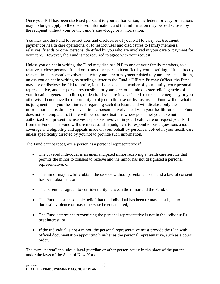Once your PHI has been disclosed pursuant to your authorization, the federal privacy protections may no longer apply to the disclosed information, and that information may be re-disclosed by the recipient without your or the Fund's knowledge or authorization.

You may ask the Fund to restrict uses and disclosures of your PHI to carry out treatment, payment or health care operations, or to restrict uses and disclosures to family members, relatives, friends or other persons identified by you who are involved in your care or payment for your care. However, the Fund is not required to agree with your request.

Unless you object in writing, the Fund may disclose PHI to one of your family members, to a relative, a close personal friend or to any other person identified by you in writing, if it is directly relevant to the person's involvement with your care or payment related to your care. In addition, unless you object in writing by sending a letter to the Fund's HIPAA Privacy Officer, the Fund may use or disclose the PHI to notify, identify or locate a member of your family, your personal representative, another person responsible for your care, or certain disaster relief agencies of your location, general condition, or death. If you are incapacitated, there is an emergency or you otherwise do not have the opportunity to object to this use or disclosure, the Fund will do what in its judgment is in your best interest regarding such disclosure and will disclose only the information that is directly relevant to the person's involvement with your health care. The Fund does not contemplate that there will be routine situations where personnel you have not authorized will present themselves as persons involved in your health care or request your PHI from the Fund. The Fund will use its reasonable judgment to respond to basic questions about coverage and eligibility and appeals made on your behalf by persons involved in your health care unless specifically directed by you not to provide such information.

The Fund cannot recognize a person as a personal representative if:

- The covered individual is an unemancipated minor receiving a health care service that permits the minor to consent to receive and the minor has not designated a personal representative; or
- The minor may lawfully obtain the service without parental consent and a lawful consent has been obtained; or
- The parent has agreed to confidentiality between the minor and the Fund; or
- The Fund has a reasonable belief that the individual has been or may be subject to domestic violence or may otherwise be endangered;
- The Fund determines recognizing the personal representative is not in the individual's best interest; or
- If the individual is not a minor, the personal representative must provide the Plan with official documentation appointing him/her as the personal representative, such as a court order.

The term "parent" includes a legal guardian or other person acting in the place of the parent under the laws of the State of New York.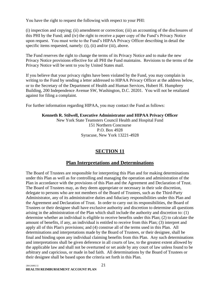You have the right to request the following with respect to your PHI:

(i) inspection and copying; (ii) amendment or correction; (iii) an accounting of the disclosures of this PHI by the Fund; and (iv) the right to receive a paper copy of the Fund's Privacy Notice upon request. You must write to the Fund's HIPAA Privacy Officer describing in detail the specific items requested, namely: (i), (ii) and/or (iii), above.

The Fund reserves the right to change the terms of its Privacy Notice and to make the new Privacy Notice provisions effective for all PHI the Fund maintains. Revisions to the terms of the Privacy Notice will be sent to you by United States mail.

If you believe that your privacy rights have been violated by the Fund, you may complain in writing to the Fund by sending a letter addressed to HIPAA Privacy Officer at the address below, or to the Secretary of the Department of Health and Human Services, Hubert H. Humphrey Building, 200 Independence Avenue SW, Washington, D.C. 20201. You will not be retaliated against for filing a complaint.

For further information regarding HIPAA, you may contact the Fund as follows:

# **Kenneth R. Stilwell, Executive Administrator and HIPAA Privacy Officer**

New York State Teamsters Council Health and Hospital Fund 151 Northern Concourse P.O. Box 4928 Syracuse, New York 13221-4928

## **SECTION 11**

## **Plan Interpretations and Determinations**

<span id="page-21-0"></span>The Board of Trustees are responsible for interpreting this Plan and for making determinations under this Plan as well as for controlling and managing the operation and administration of the Plan in accordance with the provisions of this Plan and the Agreement and Declaration of Trust. The Board of Trustees may, as they deem appropriate or necessary in their sole discretion, delegate to persons who are not members of the Board of Trustees, such as the Third-Party Administrator, any of its administrative duties and fiduciary responsibilities under this Plan and the Agreement and Declaration of Trust. In order to carry out its responsibilities, the Board of Trustees or their designee shall have exclusive authority and discretion to determine all questions arising in the administration of the Plan which shall include the authority and discretion to: (1) determine whether an individual is eligible to receive benefits under this Plan; (2) to calculate the amount of benefits, if any, an individual is entitled to receive from this Plan; (3) interpret and apply all of this Plan's provisions; and (4) construe all of the terms used in this Plan. All determinations and interpretations made by the Board of Trustees, or their designee, shall be final and binding upon any individual claiming benefits from this Plan. Any such determinations and interpretations shall be given deference in all courts of law, to the greatest extent allowed by the applicable law and shall not be overturned or set aside by any court of law unless found to be arbitrary and capricious, or made in bad faith. All determinations by the Board of Trustees or their designee shall be based upon the criteria set forth in this Plan.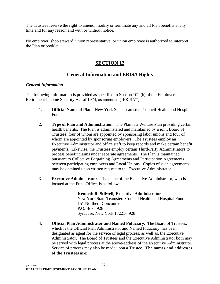The Trustees reserve the right to amend, modify or terminate any and all Plan benefits at any time and for any reason and with or without notice.

No employer, shop steward, union representative, or union employee is authorized to interpret the Plan or booklet.

# **SECTION 12**

# **General Information and ERISA Rights**

#### <span id="page-22-0"></span>*General Information*

The following information is provided as specified in Section 102 (b) of the Employee Retirement Income Security Act of 1974, as amended ("ERISA'"):

- 1. **Official Name of Plan.** New York State Teamsters Council Health and Hospital Fund.
- 2. **Type of Plan and Administration.** The Plan is a Welfare Plan providing certain health benefits. The Plan is administered and maintained by a joint Board of Trustees, four of whom are appointed by sponsoring labor unions and four of whom are appointed by sponsoring employers. The Trustees employ an Executive Administrator and office staff to keep records and make certain benefit payments. Likewise, the Trustees employ certain Third-Party Administrators to process benefit claims under separate agreements. The Plan is maintained pursuant to Collective Bargaining Agreements and Participation Agreements between participating employers and Local Unions. Copies of such agreements may be obtained upon written request to the Executive Administrator.
- 3. **Executive Administrator.** The name of the Executive Administrator, who is located at the Fund Office, is as follows:

## **Kenneth R. Stilwell, Executive Administrator**

New York State Teamsters Council Health and Hospital Fund 151 Northern Concourse P.O. Box 4928 Syracuse, New York 13221-4928

4. **Official Plan Administrator and Named Fiduciary.** The Board of Trustees, which is the Official Plan Administrator and Named Fiduciary, has been designated as agent for the service of legal process, as well as, the Executive Administrator. The Board of Trustees and the Executive Administrator both may be served with legal process at the above-address of the Executive Administrator. Service of process may also be made upon a Trustee. **The names and addresses of the Trustees are:**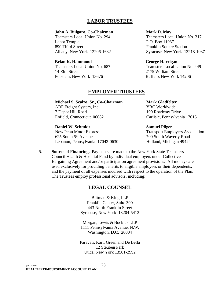## **LABOR TRUSTEES**

#### **John A. Bulgaro, Co-Chairman**

Teamsters Local Union No. 294 Labor Temple 890 Third Street Albany, New York 12206-1632

#### **Brian K. Hammond**

Teamsters Local Union No. 687 14 Elm Street Potsdam, New York 13676

#### **Mark D. May**

Teamsters Local Union No. 317 P.O. Box 11037 Franklin Square Station Syracuse, New York 13218-1037

#### **George Harrigan**

Teamsters Local Union No. 449 2175 William Street Buffalo, New York 14206

#### **EMPLOYER TRUSTEES**

**Michael S. Scalzo, Sr., Co-Chairman** ABF Freight System, Inc. 7 Depot Hill Road Enfield, Connecticut 06082

**Daniel W. Schmidt** New Penn Motor Express 625 South 5<sup>th</sup> Avenue Lebanon, Pennsylvania 17042-0630 **Mark Gladfelter** YRC Worldwide 100 Roadway Drive Carlisle, Pennsylvania 17015

**Samuel Pilger** Transport Employers Association 700 South Waverly Road Holland, Michigan 49424

5. **Source of Financing.** Payments are made to the New York State Teamsters Council Health & Hospital Fund by individual employers under Collective Bargaining Agreement and/or participation agreement provisions. All moneys are used exclusively for providing benefits to eligible employees or their dependents, and the payment of all expenses incurred with respect to the operation of the Plan. The Trustees employ professional advisors, including:

## **LEGAL COUNSEL**

Blitman & King LLP Franklin Center, Suite 300 443 North Franklin Street Syracuse, New York 13204-5412

Morgan, Lewis & Bockius LLP 1111 Pennsylvania Avenue, N.W. Washington, D.C. 20004

Paravati, Karl, Green and De Bella 12 Steuben Park Utica, New York 13501-2992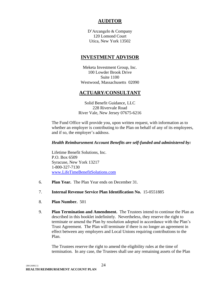# **AUDITOR**

D'Arcangelo & Company 120 Lomond Court Utica, New York 13502

## **INVESTMENT ADVISOR**

Meketa Investment Group, Inc. 100 Lowder Brook Drive Suite 1100 Westwood, Massachusetts 02090

## **ACTUARY/CONSULTANT**

Solid Benefit Guidance, LLC 228 Rivervale Road River Vale, New Jersey 07675-6216

The Fund Office will provide you, upon written request, with information as to whether an employer is contributing to the Plan on behalf of any of its employees, and if so, the employer's address.

#### *Health Reimbursement Account Benefits are self-funded and administered by:*

Lifetime Benefit Solutions, Inc. P.O. Box 6509 Syracuse, New York 13217 1-800-327-7130 [www.LifeTimeBenefitSolutions.com](http://www.lifetimebenefitsolutions.com/)

6. **Plan Year.** The Plan Year ends on December 31.

#### 7. **Internal Revenue Service Plan Identification No.** 15-0551885

- 8. **Plan Number.** 501
- 9. **Plan Termination and Amendment.** The Trustees intend to continue the Plan as described in this booklet indefinitely. Nevertheless, they reserve the right to terminate or amend the Plan by resolution adopted in accordance with the Plan's Trust Agreement. The Plan will terminate if there is no longer an agreement in effect between any employers and Local Unions requiring contributions to the Plan.

The Trustees reserve the right to amend the eligibility rules at the time of termination. In any case, the Trustees shall use any remaining assets of the Plan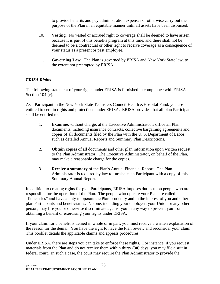to provide benefits and pay administration expenses or otherwise carry out the purpose of the Plan in an equitable manner until all assets have been disbursed.

- 10. **Vesting.** No vested or accrued right to coverage shall be deemed to have arisen because it is part of this benefits program at this time, and there shall not be deemed to be a contractual or other right to receive coverage as a consequence of your status as a present or past employee.
- 11. **Governing Law.** The Plan is governed by ERISA and New York State law, to the extent not preempted by ERISA.

## *ERISA Rights*

The following statement of your rights under ERISA is furnished in compliance with ERISA Section 104 (c).

As a Participant in the New York State Teamsters Council Health &Hospital Fund, you are entitled to certain rights and protections under ERISA. ERISA provides that all plan Participants shall be entitled to:

- 1. **Examine,** without charge, at the Executive Administrator's office all Plan documents, including insurance contracts, collective bargaining agreements and copies of all documents filed by the Plan with the U. S. Department of Labor, such as detailed Annual Reports and Summary Plan Descriptions.
- 2. **Obtain copies** of all documents and other plan information upon written request to the Plan Administrator. The Executive Administrator, on behalf of the Plan, may make a reasonable charge for the copies.
- 3. **Receive a summary** of the Plan's Annual Financial Report. The Plan Administrator is required by law to furnish each Participant with a copy of this Summary Annual Report.

In addition to creating rights for plan Participants, ERISA imposes duties upon people who are responsible for the operation of the Plan. The people who operate your Plan are called "fiduciaries" and have a duty to operate the Plan prudently and in the interest of you and other plan Participants and beneficiaries. No one, including your employer, your Union or any other person, may fire you or otherwise discriminate against you in any way to prevent you from obtaining a benefit or exercising your rights under ERISA.

If your claim for a benefit is denied in whole or in part, you must receive a written explanation of the reason for the denial. You have the right to have the Plan review and reconsider your claim. This booklet details the applicable claims and appeals procedures.

Under ERISA, there are steps you can take to enforce these rights. For instance, if you request materials from the Plan and do not receive them within thirty **(30)** days, you may file a suit in federal court. In such a case, the court may require the Plan Administrator to provide the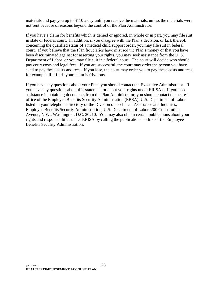materials and pay you up to \$110 a day until you receive the materials, unless the materials were not sent because of reasons beyond the control of the Plan Administrator.

If you have a claim for benefits which is denied or ignored, in whole or in part, you may file suit in state or federal court. In addition, if you disagree with the Plan's decision, or lack thereof, concerning the qualified status of a medical child support order, you may file suit in federal court. If you believe that the Plan fiduciaries have misused the Plan's money or that you have been discriminated against for asserting your rights, you may seek assistance from the U. S. Department of Labor, or you may file suit in a federal court. The court will decide who should pay court costs and legal fees. If you are successful, the court may order the person you have sued to pay these costs and fees. If you lose, the court may order you to pay these costs and fees, for example, if it finds your claim is frivolous.

If you have any questions about your Plan, you should contact the Executive Administrator. If you have any questions about this statement or about your rights under ERISA or if you need assistance in obtaining documents from the Plan Administrator, you should contact the nearest office of the Employee Benefits Security Administration (EBSA), U.S. Department of Labor listed in your telephone directory or the Division of Technical Assistance and Inquiries, Employee Benefits Security Administration, U.S. Department of Labor, 200 Constitution Avenue, N.W., Washington, D.C. 20210. You may also obtain certain publications about your rights and responsibilities under ERISA by calling the publications hotline of the Employee Benefits Security Administration.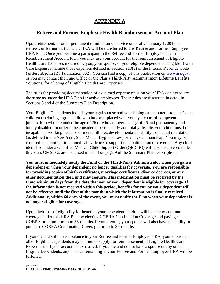# **APPENDIX A**

## <span id="page-27-1"></span><span id="page-27-0"></span>**Retiree and Former Employee Health Reimbursement Account Plan**

Upon retirement, or other permanent termination of service on or after January 1, 2016, a retiree's or former participant's HRA will be transferred to this Retiree and Former Employee HRA Plan. Once you become a participant in the Retiree and Former Employee Health Reimbursement Account Plan, you may use your account for the reimbursement of Eligible Health Care Expenses incurred by you, your spouse, or your eligible dependents. Eligible Health Care Expenses include those expenses defined in Section 213(d) of the Internal Revenue Code (as described in IRS Publication 502). You can find a copy of this publication on [www.irs.gov,](http://www.irs.gov/) or you may contact the Fund Office or the Plan's Third-Party Administrator, Lifetime Benefits Solutions, for a listing of Eligible Health Care Expenses.

The rules for providing documentation of a claimed expense or using your HRA debit card are the same as under the HRA Plan for active employees. These rules are discussed in detail in Sections 3 and 4 of the Summary Plan Description.

Your Eligible Dependents include your legal spouse and your biological, adopted, step, or foster children (including a grandchild who has been placed with you by a court of competent jurisdiction) who are under the age of 26 or who are over the age of 26 and permanently and totally disabled. In order to be considered permanently and totally disable, your child must be incapable of working because of mental illness, developmental disability, or mental retardation (as defined in the New York State Mental Hygiene Law) or a physical handicap. You may be required to submit periodic medical evidence to support the continuation of coverage. Any child identified under a Qualified Medical Child Support Order (QMCSO) will also be covered under this Plan. QMSCOs are discussed in detail on page 9 of the Summary Plan Description.

**You must immediately notify the Fund or the Third-Party Administrator when you gain a dependent or when your dependent no longer qualifies for coverage. You are responsible for providing copies of birth certificates, marriage certificates, divorce decrees, or any other documentation the Fund may require. This information must be received by the Fund within 90 days from the date that you or your dependent is eligible for coverage. If the information is not received within this period, benefits for you or your dependent will not be effective until the first of the month in which the information is finally received. Additionally, within 60 days of the event, you must notify the Plan when your dependent is no longer eligible for coverage.**

Upon their loss of eligibility for benefits, your dependent children will be able to continue coverage under this HRA Plan by electing COBRA Continuation Coverage and paying a COBRA premium for up to 36-months. If you divorce, your spouse will also have the ability to purchase COBRA Continuation Coverage for up to 36-months.

If you die and still have a balance in your Retiree and Former Employee HRA, your spouse and other Eligible Dependents may continue to apply for reimbursement of Eligible Health Care Expenses until your account is exhausted. If you die and do not have a spouse or any other Eligible Dependents, any balance remaining in your Retiree and Former Employee HRA will be forfeited.